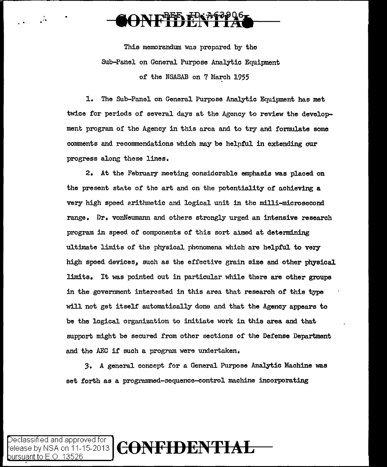$\frac{1}{\sqrt{2}}$ 

This memorandum was propared by tho Sub-Panel on General Purpose Analytic Equipment of the NSASAB on 7 March 1955

1. The Sub-Panel on General Purpose Analytic Equipment has met twice for periods of several days at the Agency to review the development program of the Agency in this area and to try and formulate some comments and recommendations which may be helpful in extending our progress along these lines.

2. At the February meeting considerable emphasis was placed on the present state of the art and on the potentiality of achieving a very high speed arithmetic and logical unit in the milli-microsccond range. Dr. vonNeumann and others strongly urged an intensive research program in speed of components *of* this sort aimed at determining ultimate limits of the physical phenomena which are helpful to very high spoed devices, such as the effective grain size and other physical limits. It was pointed out in particular while there are other groups in the government interested in this area that research of this type will not get itself automatically done and that the Agency appears to be the logical organization to initiate work in this area and that support might be secured from other sections of the Defense Department and the AEC if such a program were undertaken.

3. A general concept for a General Purpose Analytic Machine was set forth as a programmcd-3cquencc-control machine incorporating

Declassified and approved for  $\big]$   $\operatorname{CoNFIDEF}$ bursuant to F  $\odot$  1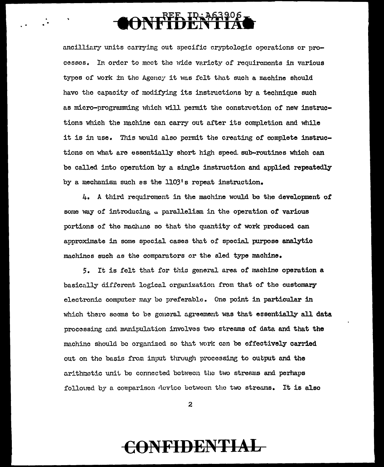# **OONFIDENTIAC**

ancilliary units carrying out specific cryptologic operations or processes. In order to meet the wide veriety of requirements in verious types of work in the Agency it was felt that such a machine should have the capacity of modifying its instructions by a technique such as micro-programming which will permit the construction of new instructions which the machine can carry out after its completion and while it is in use. This would also permit the creating of complete instructions on what arc essentially short high speed. sub-routines which can be called into operation by a single instruction and applied repeatedly by a mechanism such as the  $1103'$ s repeat instruction.

 $4.$  A third requirement in the machine would be the development of some way of introducing . parallelism in the operation of various portions of tho maclunc so that tho quantity of work produced can approximate in some special cases that of special purpose analytic machines such as the comparators or the sled type machine.

5. It is felt that for this general area of machine operation a basically different logical organization from that of the customary electronic computer may bo preferable. One point in particular in which there seems to be general agreement was that essentially all data processing and manipulation involves two streams of data and that the machine should be organized so that work can be effectively carried out on tho basis from input through proccssine; to output nnd the arithmetic unit be connected between the two streams and perhaps folloued by a comparison device between the two streams. It is also

2

## **CONFIDENTIAL**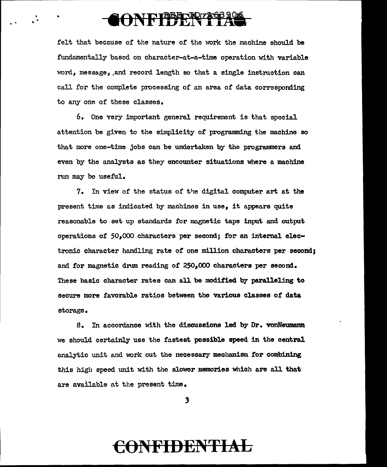#### ONFIDENTITA

..

felt that because of the nature of the work the machine should be fundamentally based on character-at-a-time operation with variable word, message, and record length so that a single instruction can call for the complete processing of an area of data corresponding to any one of these classes.

6. One very important general requirement is that special attention be given to the simplicity of programming the machine so that more one-time jobs can be undertaken by the programmers and even by the analysts as they encounter situations where a machine run may bo useful.

7. In view of the status of the digital computer art at the present time as indicated by machines in use, it appears quite reasonable to set up standards for magnetic tape input and output operations of 50,000 characters per second; for an internal electronic character handling rate of one million characters per second: and for magnetic drum reading of  $250<sub>s</sub>000$  characters per second. These basic character rates can all be modified by paralleling to secure more favorable ratios between tho various classes of data storage.

s. In accordance with the discussions led by Dr. vonNeumann we should certainly use the £nstest possible speed in the central analytic unit and work out the necessary mechanism for combining this high speed unit with the slower memories which are all that are available nt the present time.

3

#### CONFIDENTIAL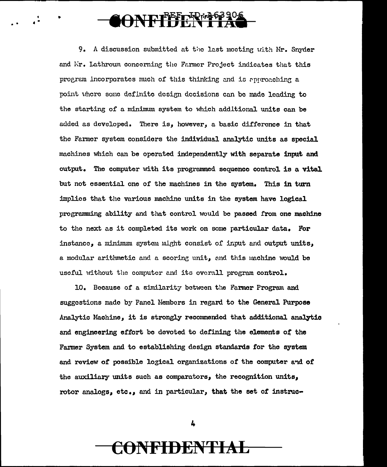### ONFIFFERESS 206

9. A discussion submitted at the last moeting with Mr. Snyder and Mr. Lathroum concerning the Farmer Project indicates that this program incorporates much of this thinking and is approaching a point where some definite design decisions can be made leading to the starting of a minimum system to which additional units can be added as developed. There is, however, a basic difference in that the Farmor system considers the individual analytic units as special machines which can be operated independently with separate input and output. The computer with its programmed sequence control is a vital but not essential one of the machines in the system. This in turn implies that the various machine units in the system have logical programming ability and that control would be passed from one machine to the next as it completed its work on some particular data. For instance. a minimum system might consist of input and output units. a modular arithmetic and a scoring unit, and this machine would be useful without the computer and its overall program control.

10. Because of a similarity between the Farmer Program and suggestions made by Panel Members in regard to the General Purpose Analytic Machine, it is strongly recommended that additional analytic and engineering effort be devoted to defining the elements of the Farmer System and to establishing design standards for the system and review of possible logical organizations of the computer and of the auxiliary units such as comparators, the recognition units, rotor analogs, etc., and in particular, that the set of instruc-

4

#### NFIDENTI